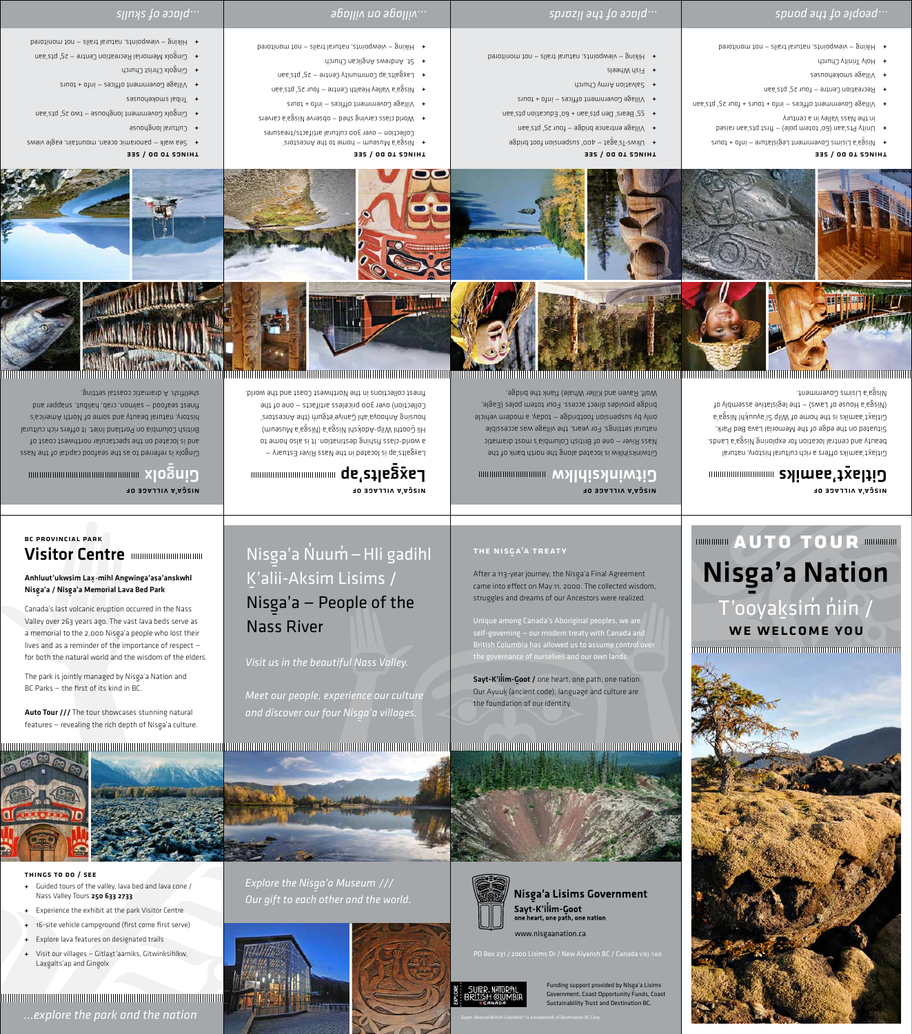### **BC PROVINCIAL PARK**

## Visitor Centre mummummummum

### Anhluut'ukwsim Lax-mihl Angwinga'asa'anskwhl Nisga'a / Nisga'a Memorial Lava Bed Park

Canada's last volcanic eruption occurred in the Nass Valley over 263 years ago. The vast lava beds serve as a memorial to the 2,000 Nisga'a people who lost their lives and as a reminder of the importance of respect for both the natural world and the wisdom of the elders.

The park is jointly managed by Nisga'a Nation and BC Parks - the first of its kind in BC.

Auto Tour /// The tour showcases stunning natural features - revealing the rich depth of Nisga'a culture.



### THINGS TO DO / SEE

- + Guided tours of the valley, lava bed and lava cone / Nass Valley Tours 250 633 2733
- + Experience the exhibit at the park Visitor Centre
- + 16-site vehicle campground (first come first serve)
- + Explore lava features on designated trails
- + Visit our villages Gitlaxt'aamiks, Gitwinksihlkw, Laxgalts'ap and Gingolx

... explore the park and the nation

## Nisga'a Nuum - Hli gadihl K'alii-Aksim Lisims / Nisga'a - People of the **Nass River**

Visit us in the beautiful Nass Valley.

Meet our people, experience our culture and discover our four Nisga'a villages.

## THE NISGA'A TREATY

After a 113-year journey, the Nisga'a Final Agreement came into effect on May 11, 2000. The collected wisdom, struggles and dreams of our Ancestors were realized.

Unique among Canada's Aboriginal peoples, we are self-governing - our modern treaty with Canada and British Columbia has allowed us to assume control over the governance of ourselves and our own lands

Sayt-K'ilim-Goot / one heart, one path, one nation. Our Ayuuk (ancient code), language and culture are the foundation of our identity.



Explore the Nisga'a Museum /// Our gift to each other and the world.





## **Nisga'a Lisims Government**

Sayt-K'ilim-Goot<br>one heart, one path, one nation

www.nisgaanation.ca

PO Box 231 / 2000 Lisims Dr / New Aiyansh BC / Canada voj 1A0



Funding support provided by Nisga'a Lisims Government, Coast Opportunity Funds, Coast Sustainability Trust and Destination BC.



## **MUNICIPALLY AUTO TOUR MUNICIPAL** Nisga'a Nation T'ooyaksim niin / WE WELCOME YOU



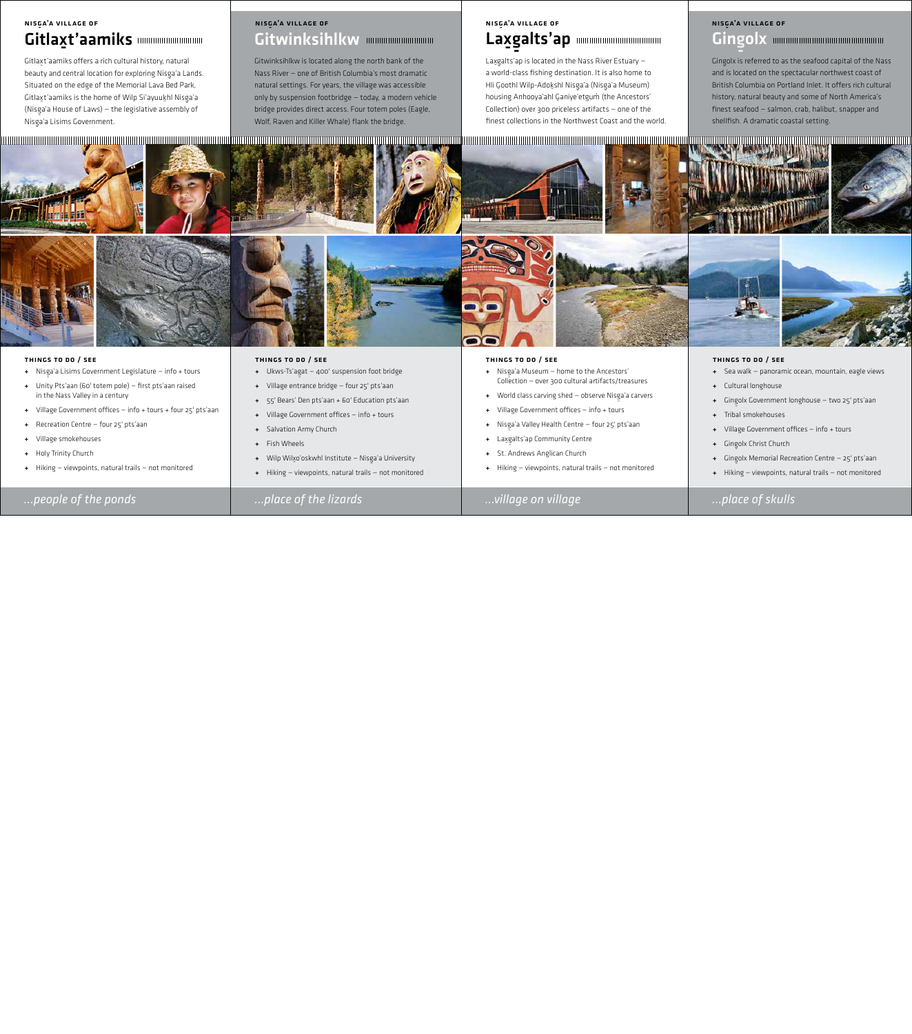## *…people of the ponds …place of the lizards …village on village …place of skulls*

### Things to do / see

- <sup>+</sup> Nisg-a'a Lisims Government Legislature info + tours
- + Unity Pts'aan (60' totem pole) first pts'aan raised in the Nass Valley in a century
- + Village Government offices info + tours + four 25' pts'aan
- + Recreation Centre four 25' pts'aan
- + Village smokehouses
- + Holy Trinity Church
- + Hiking viewpoints, natural trails not monitored
- + Nisga'a Museum home to the Ancestors'<br>Collection over 200 sultural artifacts (trea Collection — over 300 cultural artifacts/treasures
- + World class carving shed observe Nisga'a carvers
- + Village Government offices info + tours
- <sup>+</sup> Nisg-a'a Valley Health Centre four 25' pts'aan
- + Lax g alts'ap Community Centre
- + St. Andrews Anglican Church
- + Hiking viewpoints, natural trails not monitored

### Things to do / see

- + Ukws-Ts'agat 400' suspension foot bridge
- + Village entrance bridge four 25' pts'aan
- + 55' Bears' Den pts'aan + 60' Education pts'aan
- + Village Government offices info + tours
- + Salvation Army Church
- + Fish Wheels
- + Wilp Wil $x$ o'oskwhl Institute Nisga'a University
- + Hiking viewpoints, natural trails not monitored



### Things to do / see

## Gitlaxt'aamiks Nisg-a'a village of

Gitlaxt'aamiks offers a rich cultural history, natural beauty and central location for exploring Nisga'a Lands.<br>Clares the state of the state of the state of the state of the state of the state of the state of the state of Situated on the edge of the Memorial Lava Bed Park, Gitlaxt'aamiks is the home of Wilp Si'ayuukhl Nisga'a<br>A'u (Nisga'a House of Laws) – the legislative assembly of<br>、 Nisga'a Lisims Government.<br>'

## Gitwinksihlkw mmmmmmmmm NISGA'A VILLAGE OF NISG-ALL AND A VILLAGE OF NISG-ALL AND A VILLAGE OF NISG-ALL AND A VILLAGE OF NISG-ALL AND A<br>A VILLAGE OF NISG-ALL AND A VILLAGE OF NISG-ALL AND A VILLAGE OF NISG-ALL AND A VILLAGE OF NISG-ALL AND A VILL

### Things to do / see

Laxgalts'ap is located in the Nass River Estuary – a world-class fishing destination. It is also home to Hli Goothl Wilp-Adokshl Nisga'a (Nisga'a Museum)<br>' housing Anhooya'ahl Ganiye'etgum (the Ancestors' Collection) over 300 priceless artifacts — one of the finest collections in the Northwest Coast and the world.





- + Sea walk panoramic ocean, mountain, eagle views
- + Cultural longhouse
- <sup>+</sup> Ging-olx Government longhouse two 25' pts'aan
- + Tribal smokehouses
- + Village Government offices info + tours
- <sup>+</sup> Ging-olx Christ Church
- <sup>+</sup> Ging-olx Memorial Recreation Centre 25' pts'aan
- + Hiking viewpoints, natural trails not monitored

Gitwinksihlkw is located along the north bank of the Nass River — one of British Columbia's most dramatic natural settings. For years, the village was accessible only by suspension footbridge — today, a modern vehicle bridge provides direct access. Four totem poles (Eagle, Wolf, Raven and Killer Whale) flank the bridge.

### Laxg ם<br>alts'ap NISGA'A VILLAGE OF

Ging-olx is referred to as the seafood capital of the Nass and is located on the spectacular northwest coast of British Columbia on Portland Inlet. It offers rich cultural history, natural beauty and some of North America's finest seafood — salmon, crab, halibut, snapper and shellfish. A dramatic coastal setting.







### a'a village of

## **Gingolx** <u>ار ال</u>